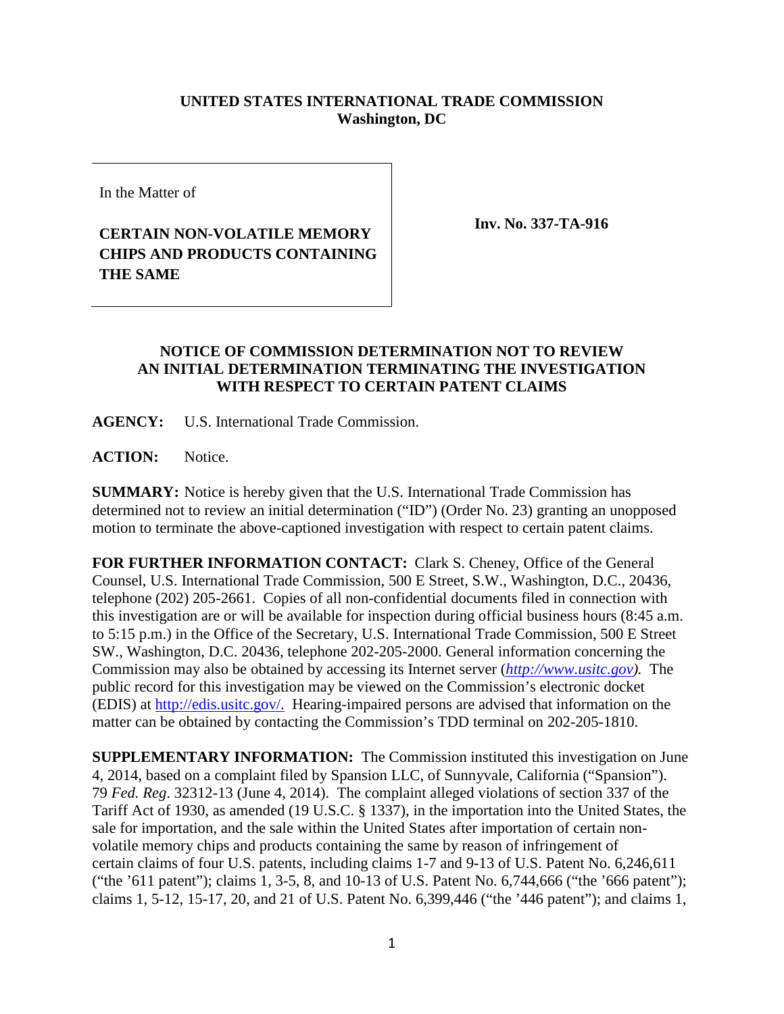## **UNITED STATES INTERNATIONAL TRADE COMMISSION Washington, DC**

In the Matter of

## **CERTAIN NON-VOLATILE MEMORY CHIPS AND PRODUCTS CONTAINING THE SAME**

**Inv. No. 337-TA-916**

## **NOTICE OF COMMISSION DETERMINATION NOT TO REVIEW AN INITIAL DETERMINATION TERMINATING THE INVESTIGATION WITH RESPECT TO CERTAIN PATENT CLAIMS**

**AGENCY:** U.S. International Trade Commission.

**ACTION:** Notice.

**SUMMARY:** Notice is hereby given that the U.S. International Trade Commission has determined not to review an initial determination ("ID") (Order No. 23) granting an unopposed motion to terminate the above-captioned investigation with respect to certain patent claims.

**FOR FURTHER INFORMATION CONTACT:** Clark S. Cheney, Office of the General Counsel, U.S. International Trade Commission, 500 E Street, S.W., Washington, D.C., 20436, telephone (202) 205-2661. Copies of all non-confidential documents filed in connection with this investigation are or will be available for inspection during official business hours (8:45 a.m. to 5:15 p.m.) in the Office of the Secretary, U.S. International Trade Commission, 500 E Street SW., Washington, D.C. 20436, telephone 202-205-2000. General information concerning the Commission may also be obtained by accessing its Internet server (*[http://www.usitc.gov\)](http://www.usitc.gov/).* The public record for this investigation may be viewed on the Commission's electronic docket (EDIS) at http://edis.usitc.gov/. Hearing-impaired persons are advised that information on the matter can be obtained by contacting the Commission's TDD terminal on 202-205-1810.

**SUPPLEMENTARY INFORMATION:** The Commission instituted this investigation on June 4, 2014, based on a complaint filed by Spansion LLC, of Sunnyvale, California ("Spansion"). 79 *Fed. Reg*. 32312-13 (June 4, 2014). The complaint alleged violations of section 337 of the Tariff Act of 1930, as amended (19 U.S.C. § 1337), in the importation into the United States, the sale for importation, and the sale within the United States after importation of certain nonvolatile memory chips and products containing the same by reason of infringement of certain claims of four U.S. patents, including claims 1-7 and 9-13 of U.S. Patent No. 6,246,611 ("the '611 patent"); claims 1, 3-5, 8, and 10-13 of U.S. Patent No. 6,744,666 ("the '666 patent"); claims 1, 5-12, 15-17, 20, and 21 of U.S. Patent No. 6,399,446 ("the '446 patent"); and claims 1,